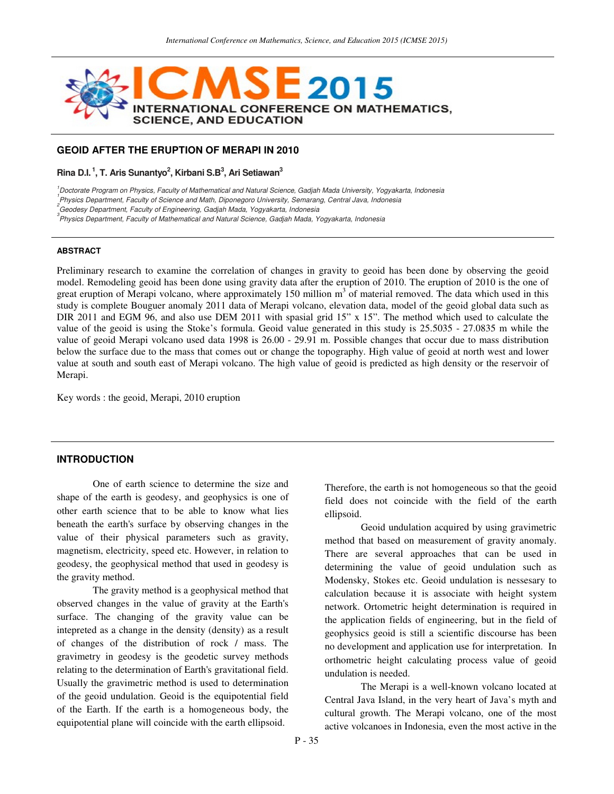

# **GEOID AFTER THE ERUPTION OF MERAPI IN 2010**

**Rina D.I.<sup>1</sup>, T. Aris Sunantyo<sup>2</sup> , Kirbani S.B<sup>3</sup> , Ari Setiawan<sup>3</sup>**

<sup>1</sup>Doctorate Program on Physics, Faculty of Mathematical and Natural Science, Gadjah Mada University, Yogyakarta, Indonesia

1 Physics Department, Faculty of Science and Math, Diponegoro University, Semarang, Central Java, Indonesia

<sup>2</sup> Geodesy Department, Faculty of Engineering, Gadjah Mada, Yogyakarta, Indonesia

<sup>3</sup><br>Physics Department, Faculty of Mathematical and Natural Science, Gadjah Mada, Yogyakarta, Indonesia

#### **ABSTRACT**

Preliminary research to examine the correlation of changes in gravity to geoid has been done by observing the geoid model. Remodeling geoid has been done using gravity data after the eruption of 2010. The eruption of 2010 is the one of great eruption of Merapi volcano, where approximately 150 million  $m<sup>3</sup>$  of material removed. The data which used in this study is complete Bouguer anomaly 2011 data of Merapi volcano, elevation data, model of the geoid global data such as DIR 2011 and EGM 96, and also use DEM 2011 with spasial grid 15" x 15". The method which used to calculate the value of the geoid is using the Stoke's formula. Geoid value generated in this study is 25.5035 - 27.0835 m while the value of geoid Merapi volcano used data 1998 is 26.00 - 29.91 m. Possible changes that occur due to mass distribution below the surface due to the mass that comes out or change the topography. High value of geoid at north west and lower value at south and south east of Merapi volcano. The high value of geoid is predicted as high density or the reservoir of Merapi.

ellipsoid.

Key words : the geoid, Merapi, 2010 eruption

## **INTRODUCTION**

One of earth science to determine the size and shape of the earth is geodesy, and geophysics is one of other earth science that to be able to know what lies beneath the earth's surface by observing changes in the value of their physical parameters such as gravity, magnetism, electricity, speed etc. However, in relation to geodesy, the geophysical method that used in geodesy is the gravity method.

The gravity method is a geophysical method that observed changes in the value of gravity at the Earth's surface. The changing of the gravity value can be intepreted as a change in the density (density) as a result of changes of the distribution of rock / mass. The gravimetry in geodesy is the geodetic survey methods relating to the determination of Earth's gravitational field. Usually the gravimetric method is used to determination of the geoid undulation. Geoid is the equipotential field of the Earth. If the earth is a homogeneous body, the equipotential plane will coincide with the earth ellipsoid.

undulation is needed.

The Merapi is a well-known volcano located at Central Java Island, in the very heart of Java's myth and cultural growth. The Merapi volcano, one of the most active volcanoes in Indonesia, even the most active in the

Therefore, the earth is not homogeneous so that the geoid field does not coincide with the field of the earth

method that based on measurement of gravity anomaly. There are several approaches that can be used in determining the value of geoid undulation such as Modensky, Stokes etc. Geoid undulation is nessesary to calculation because it is associate with height system network. Ortometric height determination is required in the application fields of engineering, but in the field of geophysics geoid is still a scientific discourse has been

Geoid undulation acquired by using gravimetric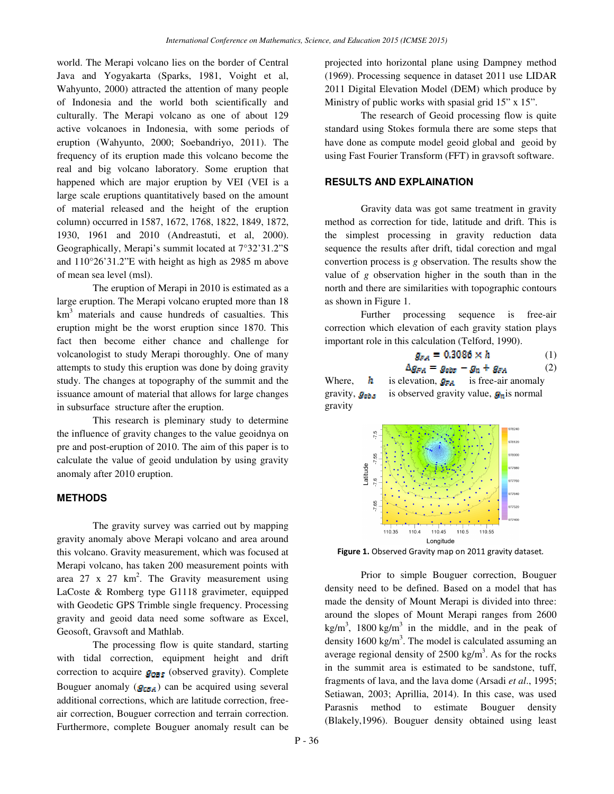world. The Merapi volcano lies on the border of Central Java and Yogyakarta (Sparks, 1981, Voight et al, Wahyunto, 2000) attracted the attention of many people of Indonesia and the world both scientifically and culturally. The Merapi volcano as one of about 129 active volcanoes in Indonesia, with some periods of eruption (Wahyunto, 2000; Soebandriyo, 2011). The frequency of its eruption made this volcano become the real and big volcano laboratory. Some eruption that happened which are major eruption by VEI (VEI is a large scale eruptions quantitatively based on the amount of material released and the height of the eruption column) occurred in 1587, 1672, 1768, 1822, 1849, 1872, 1930, 1961 and 2010 (Andreastuti, et al, 2000). Geographically, Merapi's summit located at 7°32'31.2"S and 110°26'31.2"E with height as high as 2985 m above of mean sea level (msl).

The eruption of Merapi in 2010 is estimated as a large eruption. The Merapi volcano erupted more than 18 km<sup>3</sup> materials and cause hundreds of casualties. This eruption might be the worst eruption since 1870. This fact then become either chance and challenge for volcanologist to study Merapi thoroughly. One of many attempts to study this eruption was done by doing gravity study. The changes at topography of the summit and the issuance amount of material that allows for large changes in subsurface structure after the eruption.

This research is pleminary study to determine the influence of gravity changes to the value geoidnya on pre and post-eruption of 2010. The aim of this paper is to calculate the value of geoid undulation by using gravity anomaly after 2010 eruption.

### **METHODS**

The gravity survey was carried out by mapping gravity anomaly above Merapi volcano and area around this volcano. Gravity measurement, which was focused at Merapi volcano, has taken 200 measurement points with area 27 x 27  $km^2$ . The Gravity measurement using LaCoste & Romberg type G1118 gravimeter, equipped with Geodetic GPS Trimble single frequency. Processing gravity and geoid data need some software as Excel, Geosoft, Gravsoft and Mathlab.

The processing flow is quite standard, starting with tidal correction, equipment height and drift correction to acquire  $g_{\text{OBS}}$  (observed gravity). Complete Bouguer anomaly  $(g_{CBA})$  can be acquired using several additional corrections, which are latitude correction, freeair correction, Bouguer correction and terrain correction. Furthermore, complete Bouguer anomaly result can be projected into horizontal plane using Dampney method (1969). Processing sequence in dataset 2011 use LIDAR 2011 Digital Elevation Model (DEM) which produce by Ministry of public works with spasial grid 15" x 15".

The research of Geoid processing flow is quite standard using Stokes formula there are some steps that have done as compute model geoid global and geoid by using Fast Fourier Transform (FFT) in gravsoft software.

## **RESULTS AND EXPLAINATION**

Gravity data was got same treatment in gravity method as correction for tide, latitude and drift. This is the simplest processing in gravity reduction data sequence the results after drift, tidal corection and mgal convertion process is *g* observation. The results show the value of *g* observation higher in the south than in the north and there are similarities with topographic contours as shown in Figure 1.

Further processing sequence is free-air correction which elevation of each gravity station plays important role in this calculation (Telford, 1990).

$$
g_{FA} = 0.3086 \times h \tag{1}
$$
  

$$
\Delta g_{FA} = g_{obs} - g_n + g_{FA} \tag{2}
$$

Where,  $h$  is elevation,  $g_{FA}$  is free-air anomaly gravity,  $g_{ab}$  is observed gravity value,  $g_n$  is normal gravity



Figure 1. Observed Gravity map on 2011 gravity dataset.

Prior to simple Bouguer correction, Bouguer density need to be defined. Based on a model that has made the density of Mount Merapi is divided into three: around the slopes of Mount Merapi ranges from 2600  $kg/m<sup>3</sup>$ , 1800 kg/m<sup>3</sup> in the middle, and in the peak of density  $1600 \text{ kg/m}^3$ . The model is calculated assuming an average regional density of  $2500 \text{ kg/m}^3$ . As for the rocks in the summit area is estimated to be sandstone, tuff, fragments of lava, and the lava dome (Arsadi *et al*., 1995; Setiawan, 2003; Aprillia, 2014). In this case, was used Parasnis method to estimate Bouguer density (Blakely,1996). Bouguer density obtained using least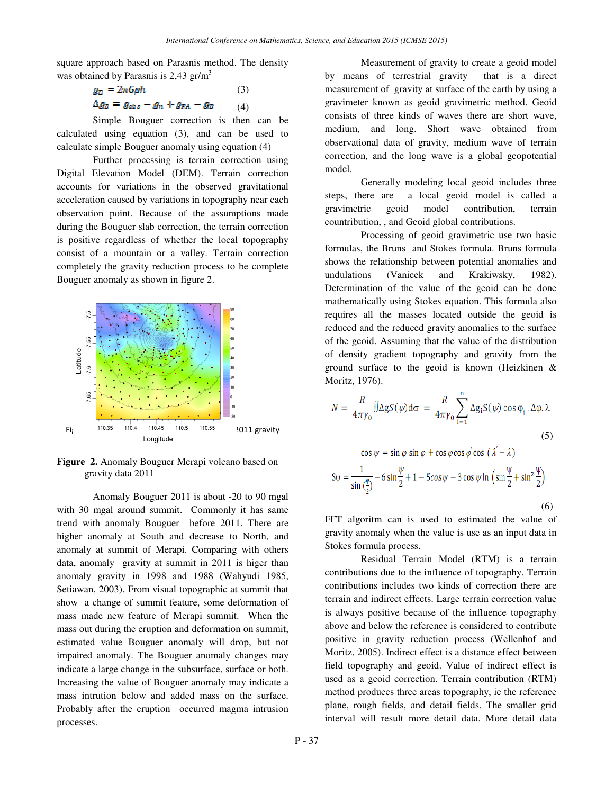square approach based on Parasnis method. The density was obtained by Parasnis is  $2,43$  gr/m<sup>3</sup>

$$
g_B = 2\pi G \rho h \tag{3}
$$
  
\n
$$
\Delta g_B = g_{obs} - g_n + g_{BA} - g_B \tag{4}
$$

Simple Bouguer correction is then can be calculated using equation (3), and can be used to calculate simple Bouguer anomaly using equation (4)

Further processing is terrain correction using Digital Elevation Model (DEM). Terrain correction accounts for variations in the observed gravitational acceleration caused by variations in topography near each observation point. Because of the assumptions made during the Bouguer slab correction, the terrain correction is positive regardless of whether the local topography consist of a mountain or a valley. Terrain correction completely the gravity reduction process to be complete Bouguer anomaly as shown in figure 2.



**Figure 2.** Anomaly Bouguer Merapi volcano based on gravity data 2011

Anomaly Bouguer 2011 is about -20 to 90 mgal with 30 mgal around summit. Commonly it has same trend with anomaly Bouguer before 2011. There are higher anomaly at South and decrease to North, and anomaly at summit of Merapi. Comparing with others data, anomaly gravity at summit in 2011 is higer than anomaly gravity in 1998 and 1988 (Wahyudi 1985, Setiawan, 2003). From visual topographic at summit that show a change of summit feature, some deformation of mass made new feature of Merapi summit. When the mass out during the eruption and deformation on summit, estimated value Bouguer anomaly will drop, but not impaired anomaly. The Bouguer anomaly changes may indicate a large change in the subsurface, surface or both. Increasing the value of Bouguer anomaly may indicate a mass intrution below and added mass on the surface. Probably after the eruption occurred magma intrusion processes.

Measurement of gravity to create a geoid model by means of terrestrial gravity that is a direct measurement of gravity at surface of the earth by using a gravimeter known as geoid gravimetric method. Geoid consists of three kinds of waves there are short wave, medium, and long. Short wave obtained from observational data of gravity, medium wave of terrain correction, and the long wave is a global geopotential model.

Generally modeling local geoid includes three steps, there are a local geoid model is called a gravimetric geoid model contribution, terrain countribution, , and Geoid global contributions.

Processing of geoid gravimetric use two basic formulas, the Bruns and Stokes formula. Bruns formula shows the relationship between potential anomalies and undulations (Vanicek and Krakiwsky, 1982). Determination of the value of the geoid can be done mathematically using Stokes equation. This formula also requires all the masses located outside the geoid is reduced and the reduced gravity anomalies to the surface of the geoid. Assuming that the value of the distribution of density gradient topography and gravity from the ground surface to the geoid is known (Heizkinen & Moritz, 1976).

$$
N = \frac{R}{4\pi\gamma_0} \iint \Delta g S(\psi) d\sigma = \frac{R}{4\pi\gamma_0} \sum_{i=1}^{n} \Delta g_i S(\psi) \cos \varphi_i \cdot \Delta \varphi \cdot \lambda
$$
  
\n(5)  
\n
$$
\cos \psi = \sin \varphi \sin \varphi' + \cos \varphi \cos \varphi \cos (\lambda' - \lambda)
$$
  
\n
$$
S\psi = \frac{1}{\sin(\frac{\psi}{2})} - 6\sin\frac{\psi}{2} + 1 - 5\cos\psi - 3\cos\psi \ln \left(\sin\frac{\psi}{2} + \sin^2\frac{\psi}{2}\right)
$$
  
\n(6)

FFT algoritm can is used to estimated the value of gravity anomaly when the value is use as an input data in Stokes formula process.

Residual Terrain Model (RTM) is a terrain contributions due to the influence of topography. Terrain contributions includes two kinds of correction there are terrain and indirect effects. Large terrain correction value is always positive because of the influence topography above and below the reference is considered to contribute positive in gravity reduction process (Wellenhof and Moritz, 2005). Indirect effect is a distance effect between field topography and geoid. Value of indirect effect is used as a geoid correction. Terrain contribution (RTM) method produces three areas topography, ie the reference plane, rough fields, and detail fields. The smaller grid interval will result more detail data. More detail data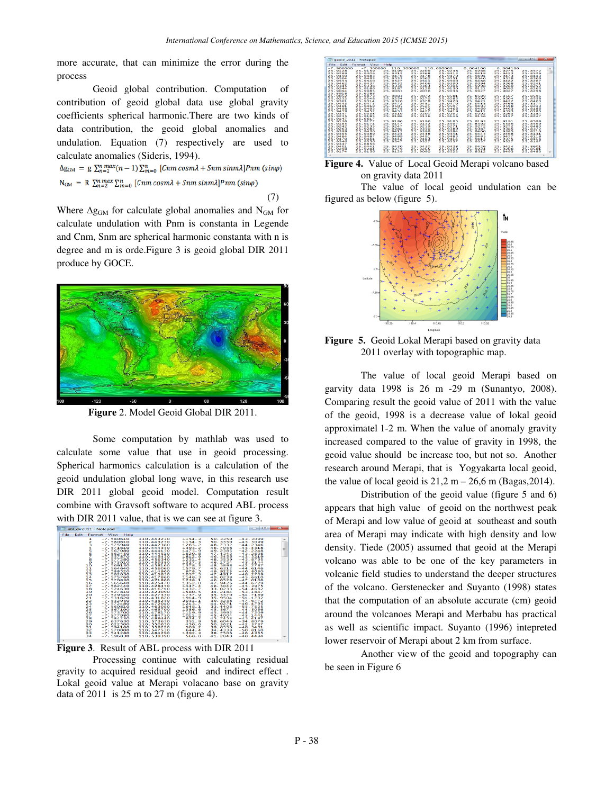more accurate, that can minimize the error during the process

Geoid global contribution. Computation of contribution of geoid global data use global gravity coefficients spherical harmonic.There are two kinds of data contribution, the geoid global anomalies and undulation. Equation (7) respectively are used to calculate anomalies (Sideris, 1994).

 $\Delta g_{\text{GM}} = g \sum_{n=2}^{n} \sum_{n=1}^{max} (n-1) \sum_{m=0}^{n} [Cnm \cos m\lambda + Snm \sin m\lambda] Pnm (\sin\varphi)$  $N_{GM} = R \sum_{n=2}^{n} \sum_{m=0}^{max} \sum_{m=0}^{n} [Cnm \cos m\lambda + Snm \sin m\lambda] Pnm (\sin \varphi)$ 

(7)

Where  $\Delta g_{GM}$  for calculate global anomalies and N<sub>GM</sub> for calculate undulation with Pnm is constanta in Legende and Cnm, Snm are spherical harmonic constanta with n is degree and m is orde.Figure 3 is geoid global DIR 2011 produce by GOCE.



**Figure** 2. Model Geoid Global DIR 2011.

 Some computation by mathlab was used to calculate some value that use in geoid processing. Spherical harmonics calculation is a calculation of the geoid undulation global long wave, in this research use DIR 2011 global geoid model. Computation result combine with Gravsoft software to acqured ABL process with DIR 2011 value, that is we can see at figure 3.

|               |                                                                                                                                                                              | api dirzull - Notepad                                                                                                                                                                                                                                                                                                                                                                                                                                                                                                      |                                                                                                                                                                                                                                                                                                                                                                                                                                                                                          |                                                                                                                                                                                                                                                                                                                                           |                                                                                                                                                                                                                                                                                                                                                                                    | ______                                                                                                                                                                                                                                                                                                                                                                                                                                                                                    |             |
|---------------|------------------------------------------------------------------------------------------------------------------------------------------------------------------------------|----------------------------------------------------------------------------------------------------------------------------------------------------------------------------------------------------------------------------------------------------------------------------------------------------------------------------------------------------------------------------------------------------------------------------------------------------------------------------------------------------------------------------|------------------------------------------------------------------------------------------------------------------------------------------------------------------------------------------------------------------------------------------------------------------------------------------------------------------------------------------------------------------------------------------------------------------------------------------------------------------------------------------|-------------------------------------------------------------------------------------------------------------------------------------------------------------------------------------------------------------------------------------------------------------------------------------------------------------------------------------------|------------------------------------------------------------------------------------------------------------------------------------------------------------------------------------------------------------------------------------------------------------------------------------------------------------------------------------------------------------------------------------|-------------------------------------------------------------------------------------------------------------------------------------------------------------------------------------------------------------------------------------------------------------------------------------------------------------------------------------------------------------------------------------------------------------------------------------------------------------------------------------------|-------------|
| File:<br>Edit | Format                                                                                                                                                                       | View<br>Help                                                                                                                                                                                                                                                                                                                                                                                                                                                                                                               |                                                                                                                                                                                                                                                                                                                                                                                                                                                                                          |                                                                                                                                                                                                                                                                                                                                           |                                                                                                                                                                                                                                                                                                                                                                                    |                                                                                                                                                                                                                                                                                                                                                                                                                                                                                           |             |
|               | 1<br>2<br>з<br>4<br>10000000<br>11<br>12<br>13<br>14<br>15<br>16<br>17<br>18<br>19<br>20<br>21<br>22<br>23<br>24<br>25<br>26<br>27<br>28<br>29<br>30<br>31<br>32<br>33<br>34 | $-7.580610$<br>$-7.580610$<br>$-7.575940$<br>$-7.571610$<br>$-7.567080$<br>$-7.562450$<br>$-7.557870$<br>$-7.577280$<br>$-7.573910$<br>$-7.569130$<br>$-7.564640$<br>$-7.588520$<br>$-7.582030$<br>$-7.575760$<br>$-7.570830$<br>$-7.565640$<br>$-7.562440$<br>$-7.524630$<br>$-7.527810$<br>$-7.529540$<br>$-7.531620$<br>$-7.532950$<br>$-7.572480$<br>$-7.560810$<br>$-7.567190$<br>$-7.573700$<br>$-7.577980$<br>$-7.584230$<br>$-7.637630$<br>$-7.622500$<br>$-7.594160$<br>$-7.570000$<br>$-7.541280$<br>$-7.596830$ | 110.443230<br>110.443230<br>110.442380<br>110.444350<br>110.444150<br>110.444510<br>110.445430<br>110.456340<br>110.459380<br>110.458160<br>110.456060<br>110.414960<br>110.415830<br>110.417860<br>110.421860<br>110.425470<br>110.428450<br>110.416710<br>110.423090<br>110.427330<br>110.431820<br>110.435250<br>110.472010<br>110.463080<br>110.465790<br>110.478170<br>110.484750<br>110.489440<br>110.573630<br>110.550650<br>110.559220<br>110.547530<br>110.484290<br>110.539390 | 1154.3<br>1154.3<br>1265.2<br>1393.2<br>1475.9<br>1620.8<br>1812.9<br>1231.4<br>1327.3<br>1378.3<br>1579.7<br>978.5<br>1057.5<br>1148.3<br>1238.1<br>1352.0<br>1447.4<br>1432.7<br>1580.5<br>1737.9<br>1914.9<br>2031.1<br>1213.7<br>1648.1<br>1386.6<br>1119.9<br>1011.2<br>924.2<br>351.9<br>450.6<br>509.2<br>644.4<br>1392.3<br>568.8 | 50.3350<br>50.3350<br>48.7332<br>46.7058<br>49.2385<br>47.4342<br>46.5456<br>48.3539<br>46.1724<br>48.5898<br>45.6312<br>49.9223<br>47.4917<br>49.0238<br>46.6528<br>47.9426<br>46.5042<br>33.0233<br>34.2184<br>35.5370<br>35.9504<br>39.3238<br>44.0271<br>33,4406<br>45.5674<br>45.5992<br>45.4004<br>45.7453<br>58.6046<br>50.3621<br>39.6550<br>34.4338<br>38.7506<br>41.2848 | $-43,3099$<br>$-43.3099$<br>$-44.2346$<br>$-45.4318$<br>$-42.2248$<br>$-43.2608$<br>$-43.3219$<br>$-43.8795$<br>$-45.3144$<br>$-42.2787$<br>$-44.6146$<br>$-46,8630$<br>$-48.2709$<br>$-45.6610$<br>$-47.0106$<br>$-44.6729$<br>$-45.3975$<br>$-54.4682$<br>$-53.1847$<br>$-51.7169$<br>$-51.1732$<br>$-47.6772$<br>$-46.4795$<br>$-55.7525$<br>$-44.5056$<br>$-44.7209$<br>$-45.1441$<br>$-45.4187$<br>$-34.8079$<br>$-42.3737$<br>$-48.3431$<br>$-50.8160$<br>$-46.4365$<br>$-48, 4494$ | ۰<br>Ξ<br>- |
|               |                                                                                                                                                                              |                                                                                                                                                                                                                                                                                                                                                                                                                                                                                                                            |                                                                                                                                                                                                                                                                                                                                                                                                                                                                                          |                                                                                                                                                                                                                                                                                                                                           |                                                                                                                                                                                                                                                                                                                                                                                    |                                                                                                                                                                                                                                                                                                                                                                                                                                                                                           |             |



Processing continue with calculating residual gravity to acquired residual geoid and indirect effect . Lokal geoid value at Merapi volacano base on gravity data of 2011 is 25 m to 27 m (figure 4).

| geoid 2011 - Notepad                                                                                                                                                                                                                                                                                                                                                                                                                                                                                                                                                                                                                         |                                                                                                                                                                                                                                                                                                                                                                                                                                                                                                                                                                                  |                                                                                                                                                                                                                                                                                               |                                                                                                                                                                                                                                                                                                    |                                                                                                                                                                                                                                                                                             | <b>CONTRACTOR</b>                                                                                                                                                                                                                                                                      | 234                      |
|----------------------------------------------------------------------------------------------------------------------------------------------------------------------------------------------------------------------------------------------------------------------------------------------------------------------------------------------------------------------------------------------------------------------------------------------------------------------------------------------------------------------------------------------------------------------------------------------------------------------------------------------|----------------------------------------------------------------------------------------------------------------------------------------------------------------------------------------------------------------------------------------------------------------------------------------------------------------------------------------------------------------------------------------------------------------------------------------------------------------------------------------------------------------------------------------------------------------------------------|-----------------------------------------------------------------------------------------------------------------------------------------------------------------------------------------------------------------------------------------------------------------------------------------------|----------------------------------------------------------------------------------------------------------------------------------------------------------------------------------------------------------------------------------------------------------------------------------------------------|---------------------------------------------------------------------------------------------------------------------------------------------------------------------------------------------------------------------------------------------------------------------------------------------|----------------------------------------------------------------------------------------------------------------------------------------------------------------------------------------------------------------------------------------------------------------------------------------|--------------------------|
| <b>File</b><br>Edit<br>Format View                                                                                                                                                                                                                                                                                                                                                                                                                                                                                                                                                                                                           | Help                                                                                                                                                                                                                                                                                                                                                                                                                                                                                                                                                                             |                                                                                                                                                                                                                                                                                               |                                                                                                                                                                                                                                                                                                    |                                                                                                                                                                                                                                                                                             |                                                                                                                                                                                                                                                                                        |                          |
| $-7.900000$<br>$-7.300000$<br>25.9128<br>25.9159<br>25.9289<br>25.9306<br>25.9450<br>25.9483<br>25.9504<br>25.9493<br>25.9553<br>25.9540<br>25.9462<br>25.9437<br>25.9345<br>25.9338<br>25.9244<br>25.9186<br>25.9094<br>25.9085<br>25.8918<br>25.6288<br>25.9052<br>25.9073<br>25.9232<br>25.9248<br>25.9301<br>25.9314<br>25.9443<br>25.9473<br>25.9481<br>25.9468<br>25.9498<br>25.9493<br>25.9459<br>25.9452<br>25.9347<br>25.9338<br>25.9235<br>25.9185<br>25.9147<br>25.6617<br>25.9136<br>25.9177<br>25.9185<br>25.9171<br>25.9242<br>25.9235<br>25.9263<br>25.9282<br>25.9399<br>25.9436<br>25.9395<br>25.9389<br>25.9484<br>25.9487 | 110,300000<br>25.9209<br>25.9199<br>25.9312<br>25.9368<br>25.9476<br>25.9478<br>25.9533<br>25.9562<br>25.9527<br>25.9514<br>25.9432<br>25.9406<br>25.9331<br>25.9303<br>25.9187<br>25.9129<br>25.9065<br>25.9036<br>25.9083<br>25.9072<br>25.9254<br>25.9270<br>25.9326<br>25.9378<br>25.9472<br>25.9481<br>25.9505<br>25.9521<br>25.9478<br>25.9472<br>25.9455<br>25.9427<br>25.9319<br>25.9290<br>25.9186<br>25.9136<br>25.9186<br>25.9196<br>25.9147<br>25.9132<br>25.9247<br>25.9259<br>25.9281<br>25.9350<br>25.9412<br>25.9399<br>25.9424<br>25.9448<br>25.9489<br>25.9491 | 110,600000<br>25.9238<br>25.9413<br>25.9470<br>25.9551<br>25.9500<br>25.9390<br>25.9306<br>25.9130<br>25.9036<br>25.8581<br>25.9285<br>25.9420<br>25.9470<br>25.9507<br>25.9466<br>25.9419<br>25.9292<br>25.9146<br>25.9195<br>25.8597<br>25.9271<br>25.9389<br>25.9384<br>25.9441<br>25.9483 | 0.004100<br>25.9266<br>25.9418<br>25.9491<br>25.9540<br>25.9486<br>25.9394<br>25.9298<br>25.9121<br>25.9027<br><b>25.8589</b><br>25.9300<br>25.9421<br>25.9488<br>25.9493<br>25.9469<br>25.9411<br>25.9292<br>25.9156<br>25.9193<br>25.8592<br>25.9272<br>25.9387<br>25.9400<br>25.9445<br>25.9485 | 0.004100<br>25.9275<br>25.9423<br>25.9473<br>25.9558<br>25.9482<br>25.9368<br>25.9280<br>25.9092<br>25.9027<br>25.8587<br>25.9304<br>25.9422<br>25.9466<br>25.9518<br>25.9463<br>25.9393<br>25.9263<br>25.9117<br>25.9191<br>25.8586<br>25.9272<br>25.9385<br>25.9385<br>25.9468<br>25.9477 | 25.8572<br>25.8526<br>25.8443<br>25.8366<br>25.8267<br>25.8241<br>25.8252<br>25.8263<br>25.8298<br>25.8595<br>25.8558<br>25.8463<br>25.8374<br>25.8243<br>25.8186<br>25.8185<br>25.8184<br>25.8247<br><b>25.8598</b><br>25.8569<br>25.8483<br>25.8372<br>25.8210<br>25.8131<br>25.8118 | ×.<br>$\blacksquare$     |
| 25.9470<br>25.9441<br>25.9346<br>25.9356<br>25.9347<br>25.6856<br>25.9401<br>25.9441<br>25.9298<br>25.9284<br>25.9174<br>25.9156                                                                                                                                                                                                                                                                                                                                                                                                                                                                                                             | 25.9442<br>25.9413<br>25.9347<br>25.9327<br>25,9430<br>25.9430<br>25.9279<br>25.9265<br>25.9129<br>25.9090                                                                                                                                                                                                                                                                                                                                                                                                                                                                       | 25.9414<br>25.9337<br>25.9428<br>25.9249<br>25.8522                                                                                                                                                                                                                                           | 25.9415<br>25.9337<br>25.9426<br>25.9224<br>25.8512                                                                                                                                                                                                                                                | 25.9375<br>25.9327<br>25.9424<br>25.9208<br>25.8493                                                                                                                                                                                                                                         | 25.8116<br>25.8197<br>25.8601<br>25.8581<br>25.8483                                                                                                                                                                                                                                    | $\overline{\phantom{a}}$ |
|                                                                                                                                                                                                                                                                                                                                                                                                                                                                                                                                                                                                                                              |                                                                                                                                                                                                                                                                                                                                                                                                                                                                                                                                                                                  |                                                                                                                                                                                                                                                                                               |                                                                                                                                                                                                                                                                                                    |                                                                                                                                                                                                                                                                                             |                                                                                                                                                                                                                                                                                        |                          |

**Figure 4.** Value of Local Geoid Merapi volcano based on gravity data 2011

The value of local geoid undulation can be figured as below (figure 5).



**Figure 5.** Geoid Lokal Merapi based on gravity data 2011 overlay with topographic map.

The value of local geoid Merapi based on garvity data 1998 is 26 m -29 m (Sunantyo, 2008). Comparing result the geoid value of 2011 with the value of the geoid, 1998 is a decrease value of lokal geoid approximatel 1-2 m. When the value of anomaly gravity increased compared to the value of gravity in 1998, the geoid value should be increase too, but not so. Another research around Merapi, that is Yogyakarta local geoid, the value of local geoid is  $21,2 m - 26,6 m$  (Bagas, 2014).

Distribution of the geoid value (figure 5 and 6) appears that high value of geoid on the northwest peak of Merapi and low value of geoid at southeast and south area of Merapi may indicate with high density and low density. Tiede (2005) assumed that geoid at the Merapi volcano was able to be one of the key parameters in volcanic field studies to understand the deeper structures of the volcano. Gerstenecker and Suyanto (1998) states that the computation of an absolute accurate (cm) geoid around the volcanoes Merapi and Merbabu has practical as well as scientific impact. Suyanto (1996) intepreted lower reservoir of Merapi about 2 km from surface.

Another view of the geoid and topography can be seen in Figure 6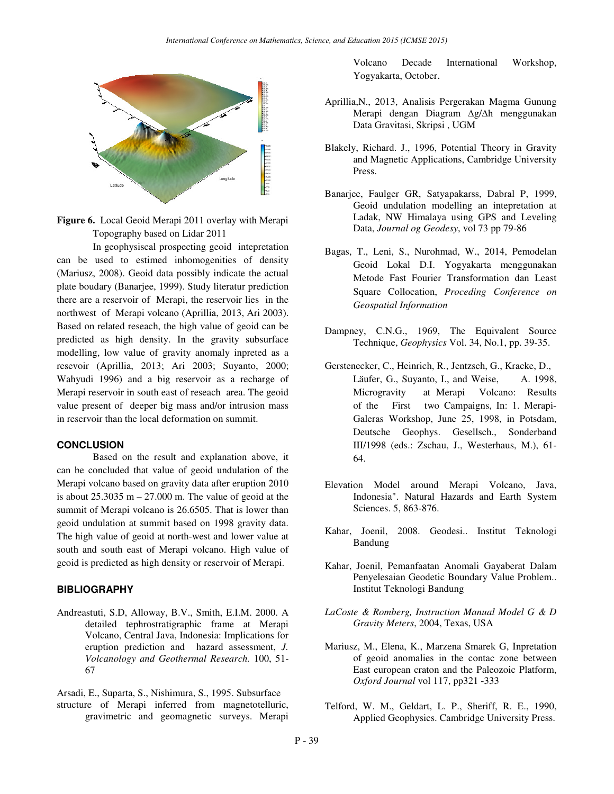

**Figure 6.** Local Geoid Merapi 2011 overlay with Merapi Topography based on Lidar 2011

In geophysiscal prospecting geoid intepretation can be used to estimed inhomogenities of density (Mariusz, 2008). Geoid data possibly indicate the actual plate boudary (Banarjee, 1999). Study literatur prediction there are a reservoir of Merapi, the reservoir lies in the northwest of Merapi volcano (Aprillia, 2013, Ari 2003). Based on related reseach, the high value of geoid can be predicted as high density. In the gravity subsurface modelling, low value of gravity anomaly inpreted as a resevoir (Aprillia, 2013; Ari 2003; Suyanto, 2000; Wahyudi 1996) and a big reservoir as a recharge of Merapi reservoir in south east of reseach area. The geoid value present of deeper big mass and/or intrusion mass in reservoir than the local deformation on summit.

### **CONCLUSION**

Based on the result and explanation above, it can be concluded that value of geoid undulation of the Merapi volcano based on gravity data after eruption 2010 is about  $25.3035$  m  $- 27.000$  m. The value of geoid at the summit of Merapi volcano is 26.6505. That is lower than geoid undulation at summit based on 1998 gravity data. The high value of geoid at north-west and lower value at south and south east of Merapi volcano. High value of geoid is predicted as high density or reservoir of Merapi.

## **BIBLIOGRAPHY**

Andreastuti, S.D, Alloway, B.V., Smith, E.I.M. 2000. A detailed tephrostratigraphic frame at Merapi Volcano, Central Java, Indonesia: Implications for eruption prediction and hazard assessment, *J. Volcanology and Geothermal Research.* 100, 51- 67

Arsadi, E., Suparta, S., Nishimura, S., 1995. Subsurface structure of Merapi inferred from magnetotelluric,

gravimetric and geomagnetic surveys. Merapi

Volcano Decade International Workshop, Yogyakarta, October.

- Aprillia,N., 2013, Analisis Pergerakan Magma Gunung Merapi dengan Diagram ∆g/∆h menggunakan Data Gravitasi, Skripsi , UGM
- Blakely, Richard. J., 1996, Potential Theory in Gravity and Magnetic Applications, Cambridge University Press.
- Banarjee, Faulger GR, Satyapakarss, Dabral P, 1999, Geoid undulation modelling an intepretation at Ladak, NW Himalaya using GPS and Leveling Data, *Journal og Geodesy*, vol 73 pp 79-86
- Bagas, T., Leni, S., Nurohmad, W., 2014, Pemodelan Geoid Lokal D.I. Yogyakarta menggunakan Metode Fast Fourier Transformation dan Least Square Collocation, *Proceding Conference on Geospatial Information*
- Dampney, C.N.G., 1969, The Equivalent Source Technique, *Geophysics* Vol. 34, No.1, pp. 39-35.
- Gerstenecker, C., Heinrich, R., Jentzsch, G., Kracke, D., Läufer, G., Suyanto, I., and Weise, A. 1998, Microgravity at Merapi Volcano: Results of the First two Campaigns, In: 1. Merapi-Galeras Workshop, June 25, 1998, in Potsdam, Deutsche Geophys. Gesellsch., Sonderband III/1998 (eds.: Zschau, J., Westerhaus, M.), 61- 64.
- Elevation Model around Merapi Volcano, Java, Indonesia". Natural Hazards and Earth System Sciences. 5, 863-876.
- Kahar, Joenil, 2008. Geodesi.. Institut Teknologi Bandung
- Kahar, Joenil, Pemanfaatan Anomali Gayaberat Dalam Penyelesaian Geodetic Boundary Value Problem.. Institut Teknologi Bandung
- *LaCoste & Romberg, Instruction Manual Model G & D Gravity Meters*, 2004, Texas, USA
- Mariusz, M., Elena, K., Marzena Smarek G, Inpretation of geoid anomalies in the contac zone between East european craton and the Paleozoic Platform, *Oxford Journal* vol 117, pp321 -333
- Telford, W. M., Geldart, L. P., Sheriff, R. E., 1990, Applied Geophysics. Cambridge University Press.